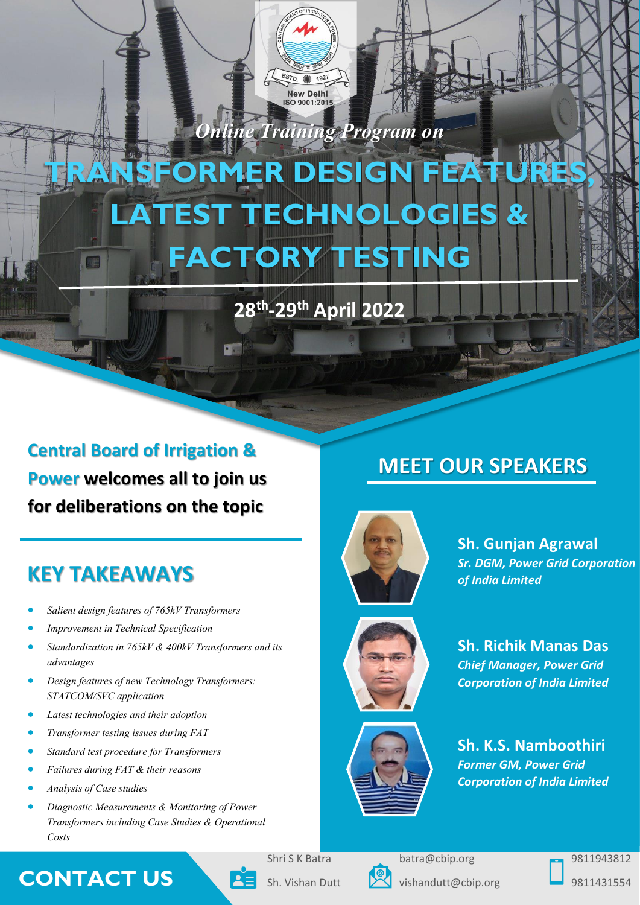

*Online Training Program on*

# **SFORMER DES LATEST TECHNOLOG FACTORY TESTING**

# **28th -29th April 2022**

**Central Board of Irrigation & Power welcomes all to join us for deliberations on the topic**

# **KEY TAKEAWAYS**

- *Salient design features of 765kV Transformers*
- *Improvement in Technical Specification*
- *Standardization in 765kV & 400kV Transformers and its advantages*
- *Design features of new Technology Transformers: STATCOM/SVC application*
- *Latest technologies and their adoption*
- *Transformer testing issues during FAT*
- *Standard test procedure for Transformers*
- *Failures during FAT & their reasons*
- *Analysis of Case studies*
- *Diagnostic Measurements & Monitoring of Power Transformers including Case Studies & Operational Costs*

# **MEET OUR SPEAKERS**



**Sh. Gunjan Agrawal** *Sr. DGM, Power Grid Corporation of India Limited*



**Sh. Richik Manas Das**  *Chief Manager, Power Grid Corporation of India Limited*



**Sh. K.S. Namboothiri** *Former GM, Power Grid Corporation of India Limited*

## **CONTACT US** Sh. Vishan Dutt vishandutt@cbip.org 9811431554

Shri S K Batra batra@cbip.org 9811943812